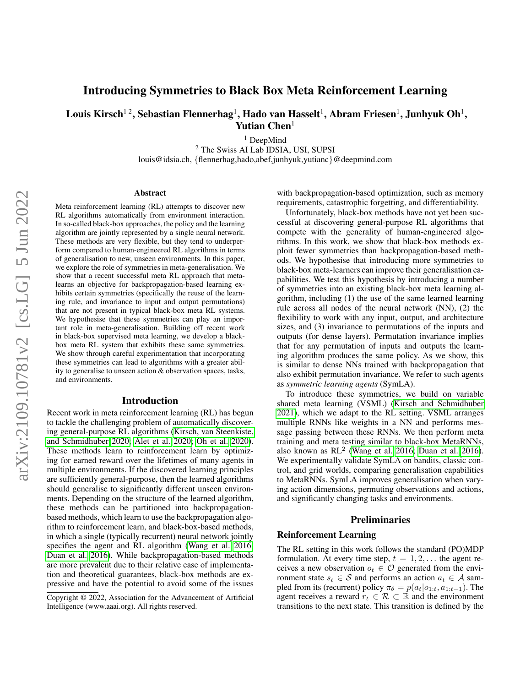# Introducing Symmetries to Black Box Meta Reinforcement Learning

Louis Kirsch $^{12}$ , Sebastian Flennerhag $^{1}$ , Hado van Hasselt $^{1}$ , Abram Friesen $^{1}$ , Junhyuk Oh $^{1}$ , Yutian Chen<sup>1</sup>

<sup>1</sup> DeepMind

<sup>2</sup> The Swiss AI Lab IDSIA, USI, SUPSI louis@idsia.ch, {flennerhag,hado,abef,junhyuk,yutianc}@deepmind.com

#### Abstract

Meta reinforcement learning (RL) attempts to discover new RL algorithms automatically from environment interaction. In so-called black-box approaches, the policy and the learning algorithm are jointly represented by a single neural network. These methods are very flexible, but they tend to underperform compared to human-engineered RL algorithms in terms of generalisation to new, unseen environments. In this paper, we explore the role of symmetries in meta-generalisation. We show that a recent successful meta RL approach that metalearns an objective for backpropagation-based learning exhibits certain symmetries (specifically the reuse of the learning rule, and invariance to input and output permutations) that are not present in typical black-box meta RL systems. We hypothesise that these symmetries can play an important role in meta-generalisation. Building off recent work in black-box supervised meta learning, we develop a blackbox meta RL system that exhibits these same symmetries. We show through careful experimentation that incorporating these symmetries can lead to algorithms with a greater ability to generalise to unseen action & observation spaces, tasks, and environments.

#### Introduction

Recent work in meta reinforcement learning (RL) has begun to tackle the challenging problem of automatically discovering general-purpose RL algorithms [\(Kirsch, van Steenkiste,](#page-7-0) [and Schmidhuber 2020;](#page-7-0) [Alet et al. 2020;](#page-7-1) [Oh et al. 2020\)](#page-7-2). These methods learn to reinforcement learn by optimizing for earned reward over the lifetimes of many agents in multiple environments. If the discovered learning principles are sufficiently general-purpose, then the learned algorithms should generalise to significantly different unseen environments. Depending on the structure of the learned algorithm, these methods can be partitioned into backpropagationbased methods, which learn to use the backpropagation algorithm to reinforcement learn, and black-box-based methods, in which a single (typically recurrent) neural network jointly specifies the agent and RL algorithm [\(Wang et al. 2016;](#page-7-3) [Duan et al. 2016\)](#page-7-4). While backpropagation-based methods are more prevalent due to their relative ease of implementation and theoretical guarantees, black-box methods are expressive and have the potential to avoid some of the issues

with backpropagation-based optimization, such as memory requirements, catastrophic forgetting, and differentiability.

Unfortunately, black-box methods have not yet been successful at discovering general-purpose RL algorithms that compete with the generality of human-engineered algorithms. In this work, we show that black-box methods exploit fewer symmetries than backpropagation-based methods. We hypothesise that introducing more symmetries to black-box meta-learners can improve their generalisation capabilities. We test this hypothesis by introducing a number of symmetries into an existing black-box meta learning algorithm, including (1) the use of the same learned learning rule across all nodes of the neural network (NN), (2) the flexibility to work with any input, output, and architecture sizes, and (3) invariance to permutations of the inputs and outputs (for dense layers). Permutation invariance implies that for any permutation of inputs and outputs the learning algorithm produces the same policy. As we show, this is similar to dense NNs trained with backpropagation that also exhibit permutation invariance. We refer to such agents as *symmetric learning agents* (SymLA).

To introduce these symmetries, we build on variable shared meta learning (VSML) [\(Kirsch and Schmidhuber](#page-7-5) [2021\)](#page-7-5), which we adapt to the RL setting. VSML arranges multiple RNNs like weights in a NN and performs message passing between these RNNs. We then perform meta training and meta testing similar to black-box MetaRNNs, also known as RL<sup>2</sup> [\(Wang et al. 2016;](#page-7-3) [Duan et al. 2016\)](#page-7-4). We experimentally validate SymLA on bandits, classic control, and grid worlds, comparing generalisation capabilities to MetaRNNs. SymLA improves generalisation when varying action dimensions, permuting observations and actions, and significantly changing tasks and environments.

#### Preliminaries

#### Reinforcement Learning

The RL setting in this work follows the standard (PO)MDP formulation. At every time step,  $t = 1, 2, \ldots$  the agent receives a new observation  $o_t \in \mathcal{O}$  generated from the environment state  $s_t \in S$  and performs an action  $a_t \in A$  sampled from its (recurrent) policy  $\pi_{\theta} = p(a_t|o_{1:t}, a_{1:t-1})$ . The agent receives a reward  $r_t \in \mathcal{R} \subset \mathbb{R}$  and the environment transitions to the next state. This transition is defined by the

Copyright © 2022, Association for the Advancement of Artificial Intelligence (www.aaai.org). All rights reserved.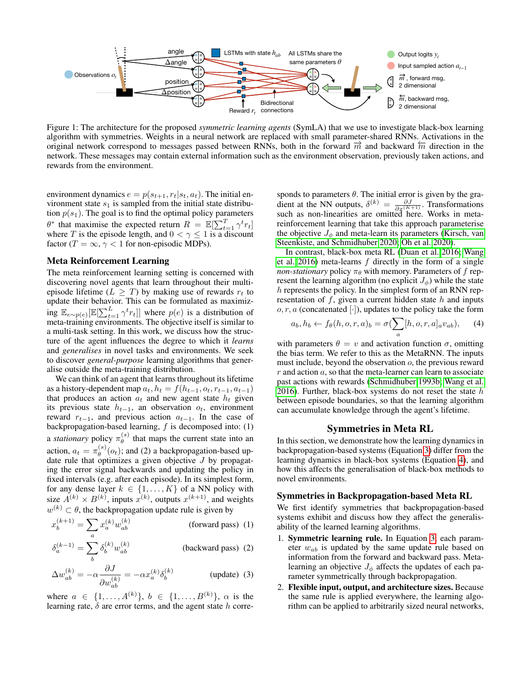<span id="page-1-4"></span>

Figure 1: The architecture for the proposed *symmetric learning agents* (SymLA) that we use to investigate black-box learning algorithm with symmetries. Weights in a neural network are replaced with small parameter-shared RNNs. Activations in the original network correspond to messages passed between RNNs, both in the forward  $\vec{m}$  and backward  $\vec{m}$  direction in the network. These messages may contain external information such as the environment observation, previously taken actions, and rewards from the environment.

environment dynamics  $e = p(s_{t+1}, r_t | s_t, a_t)$ . The initial environment state  $s_1$  is sampled from the initial state distribution  $p(s_1)$ . The goal is to find the optimal policy parameters  $\theta^*$  that maximise the expected return  $R = \mathbb{E}[\sum_{t=1}^T \gamma^t r_t]$ where T is the episode length, and  $0 < \gamma \leq 1$  is a discount factor ( $T = \infty$ ,  $\gamma < 1$  for non-episodic MDPs).

## Meta Reinforcement Learning

The meta reinforcement learning setting is concerned with discovering novel agents that learn throughout their multiepisode lifetime ( $L \geq T$ ) by making use of rewards  $r_t$  to update their behavior. This can be formulated as maximizing  $\mathbb{E}_{e \sim p(e)}[\mathbb{E}[\sum_{t=1}^L \gamma^t r_t]]$  where  $p(e)$  is a distribution of meta-training environments. The objective itself is similar to a multi-task setting. In this work, we discuss how the structure of the agent influences the degree to which it *learns* and *generalises* in novel tasks and environments. We seek to discover *general-purpose* learning algorithms that generalise outside the meta-training distribution.

We can think of an agent that learns throughout its lifetime as a history-dependent map  $a_t$ ,  $h_t = f(h_{t-1}, o_t, r_{t-1}, a_{t-1})$ that produces an action  $a_t$  and new agent state  $h_t$  given its previous state  $h_{t-1}$ , an observation  $o_t$ , environment reward  $r_{t-1}$ , and previous action  $a_{t-1}$ . In the case of backpropagation-based learning,  $f$  is decomposed into: (1) a *stationary* policy  $\pi_{\theta}^{(s)}$  $\theta_{\theta}^{(s)}$  that maps the current state into an action,  $a_t = \pi_{\theta}^{(s)}$  $\theta_{\theta}^{(s)}(o_t)$ ; and (2) a backpropagation-based update rule that optimizes a given objective  $J$  by propagating the error signal backwards and updating the policy in fixed intervals (e.g. after each episode). In its simplest form, for any dense layer  $k \in \{1, \ldots, K\}$  of a NN policy with size  $A^{(k)} \times B^{(k)}$ , inputs  $x^{(k)}$ , outputs  $x^{(k+1)}$ , and weights  $w^{(k)} \subset \theta$ , the backpropagation update rule is given by

$$
x_b^{(k+1)} = \sum_a x_a^{(k)} w_{ab}^{(k)}
$$
 (forward pass) (1)

$$
\delta_a^{(k-1)} = \sum_b \delta_b^{(k)} w_{ab}^{(k)} \qquad \qquad \text{(backward pass)} \tag{2}
$$

$$
\Delta w_{ab}^{(k)} = -\alpha \frac{\partial J}{\partial w_{ab}^{(k)}} = -\alpha x_a^{(k)} \delta_b^{(k)} \qquad \text{(update)} \tag{3}
$$

where  $a \in \{1, ..., A^{(k)}\}, b \in \{1, ..., B^{(k)}\}, \alpha$  is the learning rate,  $\delta$  are error terms, and the agent state h corre-

sponds to parameters  $\theta$ . The initial error is given by the gradient at the NN outputs,  $\delta^{(k)} = \frac{\partial J}{\partial x^{(K+1)}}$ . Transformations such as non-linearities are omitted here. Works in metareinforcement learning that take this approach parameterise the objective  $J_{\phi}$  and meta-learn its parameters [\(Kirsch, van](#page-7-0) [Steenkiste, and Schmidhuber 2020;](#page-7-0) [Oh et al. 2020\)](#page-7-2).

In contrast, black-box meta RL [\(Duan et al. 2016;](#page-7-4) [Wang](#page-7-3) [et al. 2016\)](#page-7-3) meta-learns  $f$  directly in the form of a single *non-stationary* policy  $\pi_{\theta}$  with memory. Parameters of f represent the learning algorithm (no explicit  $J_{\phi}$ ) while the state h represents the policy. In the simplest form of an RNN representation of  $f$ , given a current hidden state  $h$  and inputs  $o, r, a$  (concatenated [·]), updates to the policy take the form

<span id="page-1-1"></span>
$$
a_b, h_b \leftarrow f_\theta(h, o, r, a)_b = \sigma(\sum_a [h, o, r, a]_a v_{ab}), \quad (4)
$$

with parameters  $\theta = v$  and activation function  $\sigma$ , omitting the bias term. We refer to this as the MetaRNN. The inputs must include, beyond the observation  $o$ , the previous reward  $r$  and action  $a$ , so that the meta-learner can learn to associate past actions with rewards [\(Schmidhuber 1993b;](#page-7-6) [Wang et al.](#page-7-3) [2016\)](#page-7-3). Further, black-box systems do not reset the state  $h$ between episode boundaries, so that the learning algorithm can accumulate knowledge through the agent's lifetime.

# Symmetries in Meta RL

In this section, we demonstrate how the learning dynamics in backpropagation-based systems (Equation [3\)](#page-1-0) differ from the learning dynamics in black-box systems (Equation [4\)](#page-1-1), and how this affects the generalisation of black-box methods to novel environments.

#### Symmetries in Backpropagation-based Meta RL

<span id="page-1-2"></span>We first identify symmetries that backpropagation-based systems exhibit and discuss how they affect the generalisability of the learned learning algorithms.

- <span id="page-1-3"></span>1. Symmetric learning rule. In Equation [3,](#page-1-0) each parameter  $w_{ab}$  is updated by the same update rule based on information from the forward and backward pass. Metalearning an objective  $J_{\phi}$  affects the updates of each parameter symmetrically through backpropagation.
- <span id="page-1-0"></span>2. Flexible input, output, and architecture sizes. Because the same rule is applied everywhere, the learning algorithm can be applied to arbitrarily sized neural networks,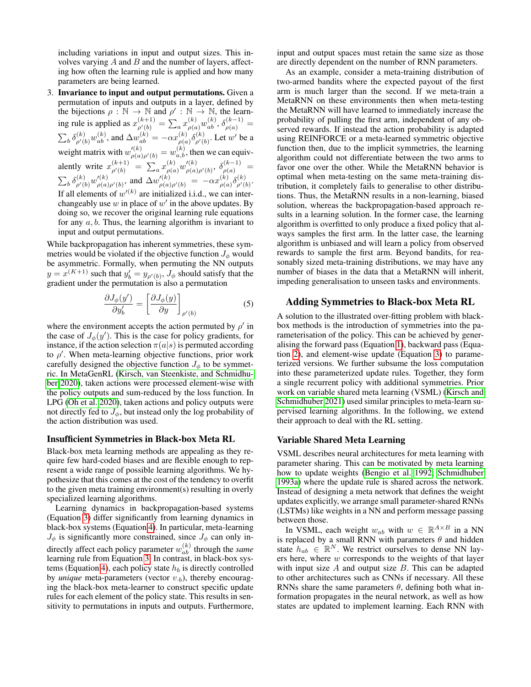including variations in input and output sizes. This involves varying  $A$  and  $B$  and the number of layers, affecting how often the learning rule is applied and how many parameters are being learned.

3. Invariance to input and output permutations. Given a permutation of inputs and outputs in a layer, defined by the bijections  $\rho : \mathbb{N} \to \mathbb{N}$  and  $\rho' : \mathbb{N} \to \mathbb{N}$ , the learning rule is applied as  $x_{\rho'(b)}^{(k+1)} = \sum_a x_{\rho(a)}^{(k)} w_{ab}^{(k)}, \delta_{\rho(a)}^{(k-1)} =$  $\sum_{b} \delta_{\rho'(b)}^{(k)} w_{ab}^{(k)}$ , and  $\Delta w_{ab}^{(k)} = -\alpha x_{\rho(a)}^{(k)}$  $\delta^{(k)}_{\rho(a)}\delta^{(k)}_{\rho'(a)}$  $_{\rho'(b)}^{(k)}$ . Let  $w'$  be a weight matrix with  $w_{\rho(a)\rho'(b)}^{(k)} = w_{a,b}^{(k)}$ , then we can equivalently write  $x_{\rho'(b)}^{(k+1)} = \sum_a x_{\rho(a)}^{(k)} w_{\rho(a)}^{\prime(k)}$  $\frac{\rho(k)}{\rho(a)\rho'(b)}, \ \delta^{(k-1)}_{\rho(a)} =$  $\sum_b \delta^{(k)}_{\rho'(b)} w_{\rho(a)}^{\prime(k)}$  $\chi_{\rho(a)\rho'(b)}^{(k)}$ , and  $\Delta w_{\rho(a)\rho'(b)}^{\prime(k)} = -\alpha x_{\rho(a)}^{(k)}$  $\binom{k}{\rho(a)}\delta^{(k)}_{\rho'(a)}$  $\frac{\rho^{(k)}}{\rho'(b)}$ . If all elements of  $w^{(k)}$  are initialized i.i.d., we can interchangeably use  $w$  in place of  $w'$  in the above updates. By doing so, we recover the original learning rule equations for any  $a, b$ . Thus, the learning algorithm is invariant to input and output permutations.

While backpropagation has inherent symmetries, these symmetries would be violated if the objective function  $J_{\phi}$  would be asymmetric. Formally, when permuting the NN outputs  $y = x^{(K+1)}$  such that  $y'_b = y_{\rho'(b)}, J_\phi$  should satisfy that the gradient under the permutation is also a permutation

$$
\frac{\partial J_{\phi}(y')}{\partial y'_b} = \left[\frac{\partial J_{\phi}(y)}{\partial y}\right]_{\rho'(b)}
$$
(5)

where the environment accepts the action permuted by  $\rho'$  in the case of  $J_{\phi}(y')$ . This is the case for policy gradients, for instance, if the action selection  $\pi(a|s)$  is permuted according to  $\rho'$ . When meta-learning objective functions, prior work carefully designed the objective function  $J_{\phi}$  to be symmetric. In MetaGenRL [\(Kirsch, van Steenkiste, and Schmidhu](#page-7-0)[ber 2020\)](#page-7-0), taken actions were processed element-wise with the policy outputs and sum-reduced by the loss function. In LPG [\(Oh et al. 2020\)](#page-7-2), taken actions and policy outputs were not directly fed to  $J_{\phi}$ , but instead only the log probability of the action distribution was used.

#### Insufficient Symmetries in Black-box Meta RL

Black-box meta learning methods are appealing as they require few hard-coded biases and are flexible enough to represent a wide range of possible learning algorithms. We hypothesize that this comes at the cost of the tendency to overfit to the given meta training environment(s) resulting in overly specialized learning algorithms.

Learning dynamics in backpropagation-based systems (Equation [3\)](#page-1-0) differ significantly from learning dynamics in black-box systems (Equation [4\)](#page-1-1). In particular, meta-learning  $J_{\phi}$  is significantly more constrained, since  $J_{\phi}$  can only indirectly affect each policy parameter  $w_{ab}^{(k)}$  through the *same* learning rule from Equation [3.](#page-1-0) In contrast, in black-box sys-tems (Equation [4\)](#page-1-1), each policy state  $h_b$  is directly controlled by *unique* meta-parameters (vector  $v_{\cdot,b}$ ), thereby encouraging the black-box meta-learner to construct specific update rules for each element of the policy state. This results in sensitivity to permutations in inputs and outputs. Furthermore,

input and output spaces must retain the same size as those are directly dependent on the number of RNN parameters.

As an example, consider a meta-training distribution of two-armed bandits where the expected payout of the first arm is much larger than the second. If we meta-train a MetaRNN on these environments then when meta-testing the MetaRNN will have learned to immediately increase the probability of pulling the first arm, independent of any observed rewards. If instead the action probability is adapted using REINFORCE or a meta-learned symmetric objective function then, due to the implicit symmetries, the learning algorithm could not differentiate between the two arms to favor one over the other. While the MetaRNN behavior is optimal when meta-testing on the same meta-training distribution, it completely fails to generalise to other distributions. Thus, the MetaRNN results in a non-learning, biased solution, whereas the backpropagation-based approach results in a learning solution. In the former case, the learning algorithm is overfitted to only produce a fixed policy that always samples the first arm. In the latter case, the learning algorithm is unbiased and will learn a policy from observed rewards to sample the first arm. Beyond bandits, for reasonably sized meta-training distributions, we may have any number of biases in the data that a MetaRNN will inherit, impeding generalisation to unseen tasks and environments.

## Adding Symmetries to Black-box Meta RL

A solution to the illustrated over-fitting problem with blackbox methods is the introduction of symmetries into the parameterisation of the policy. This can be achieved by generalising the forward pass (Equation [1\)](#page-1-2), backward pass (Equation [2\)](#page-1-3), and element-wise update (Equation [3\)](#page-1-0) to parameterized versions. We further subsume the loss computation into these parameterized update rules. Together, they form a single recurrent policy with additional symmetries. Prior work on variable shared meta learning (VSML) [\(Kirsch and](#page-7-5) [Schmidhuber 2021\)](#page-7-5) used similar principles to meta-learn supervised learning algorithms. In the following, we extend their approach to deal with the RL setting.

#### Variable Shared Meta Learning

VSML describes neural architectures for meta learning with parameter sharing. This can be motivated by meta learning how to update weights [\(Bengio et al. 1992;](#page-7-7) [Schmidhuber](#page-7-8) [1993a\)](#page-7-8) where the update rule is shared across the network. Instead of designing a meta network that defines the weight updates explicitly, we arrange small parameter-shared RNNs (LSTMs) like weights in a NN and perform message passing between those.

In VSML, each weight  $w_{ab}$  with  $w \in \mathbb{R}^{A \times B}$  in a NN is replaced by a small RNN with parameters  $\theta$  and hidden state  $h_{ab} \in \mathbb{R}^N$ . We restrict ourselves to dense NN layers here, where  $w$  corresponds to the weights of that layer with input size  $A$  and output size  $B$ . This can be adapted to other architectures such as CNNs if necessary. All these RNNs share the same parameters  $\theta$ , defining both what information propagates in the neural network, as well as how states are updated to implement learning. Each RNN with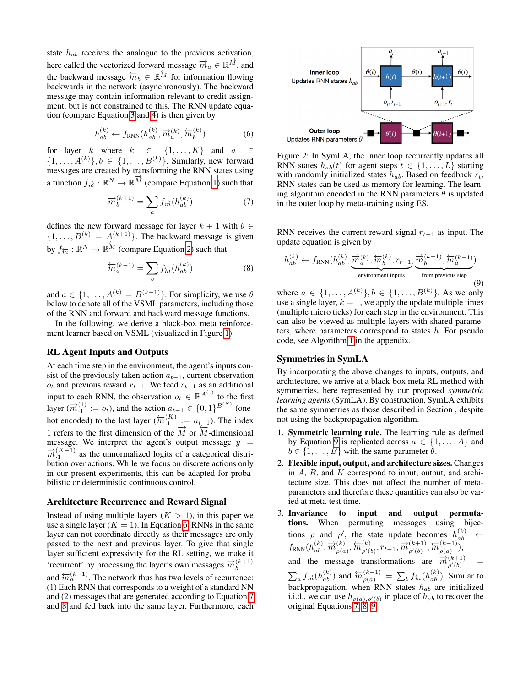state  $h_{ab}$  receives the analogue to the previous activation, here called the vectorized forward message  $\vec{m}_a \in \mathbb{R}^{\vec{M}}$ , and the backward message  $\overleftarrow{m}_b \in \mathbb{R}^{\overleftarrow{M}}$  for information flowing backwards in the network (asynchronously). The backward message may contain information relevant to credit assignment, but is not constrained to this. The RNN update equation (compare Equation [3](#page-1-0) and [4\)](#page-1-1) is then given by

<span id="page-3-0"></span>
$$
h_{ab}^{(k)} \leftarrow f_{\text{RNN}}(h_{ab}^{(k)}, \overrightarrow{m}_a^{(k)}, \overleftarrow{m}_b^{(k)})
$$
 (6)

for layer  $k$  where  $k \in \{1, ..., K\}$  and  $a$  $\{1, \ldots, A^{(k)}\}, b \in \{1, \ldots, B^{(k)}\}.$  Similarly, new forward messages are created by transforming the RNN states using a function  $f_{\overrightarrow{m}} : \mathbb{R}^N \to \mathbb{R}^{\overrightarrow{M}}$  (compare Equation [1\)](#page-1-2) such that

<span id="page-3-1"></span>
$$
\overrightarrow{m}_b^{(k+1)} = \sum_a f_{\overrightarrow{m}}(h_{ab}^{(k)})
$$
\n(7)

defines the new forward message for layer  $k + 1$  with  $b \in$  ${1, \ldots, B^{(k)} = A^{(k+1)}}$ . The backward message is given by  $f_{\overline{m}} : \mathbb{R}^N \to \mathbb{R}^{\overline{M}}$  (compare Equation [2\)](#page-1-3) such that

<span id="page-3-2"></span>
$$
\overleftarrow{m}_a^{(k-1)} = \sum_b f_{\overleftarrow{m}}(h_{ab}^{(k)})\tag{8}
$$

and  $a \in \{1, \ldots, A^{(k)} = B^{(k-1)}\}$ . For simplicity, we use  $\theta$ below to denote all of the VSML parameters, including those of the RNN and forward and backward message functions.

In the following, we derive a black-box meta reinforcement learner based on VSML (visualized in Figure [1\)](#page-1-4).

### RL Agent Inputs and Outputs

At each time step in the environment, the agent's inputs consist of the previously taken action  $a_{t-1}$ , current observation  $o_t$  and previous reward  $r_{t-1}$ . We feed  $r_{t-1}$  as an additional input to each RNN, the observation  $o_t \in \mathbb{R}^{A^{(1)}}$  to the first layer ( $\vec{m}_{1}^{(1)} := o_t$ ), and the action  $a_{t-1} \in \{0, 1\}^{B(K)}$  (onehot encoded) to the last layer  $(m_1^{(K)} := a_{t-1})$ . The index 1 refers to the first dimension of the  $\overrightarrow{M}$  or  $\overrightarrow{M}$ -dimensional message. We interpret the agent's output message  $y =$  $\overrightarrow{m}_{1}^{(K+1)}$  as the unnormalized logits of a categorical distribution over actions. While we focus on discrete actions only in our present experiments, this can be adapted for probabilistic or deterministic continuous control.

#### Architecture Recurrence and Reward Signal

Instead of using multiple layers  $(K > 1)$ , in this paper we use a single layer ( $K = 1$ ). In Equation [6,](#page-3-0) RNNs in the same layer can not coordinate directly as their messages are only passed to the next and previous layer. To give that single layer sufficient expressivity for the RL setting, we make it 'recurrent' by processing the layer's own messages  $\vec{m}_h^{(k+1)}$ b and  $\overleftarrow{m}_a^{(k-1)}$ . The network thus has two levels of recurrence: (1) Each RNN that corresponds to a weight of a standard NN and (2) messages that are generated according to Equation [7](#page-3-1) and [8](#page-3-2) and fed back into the same layer. Furthermore, each

<span id="page-3-4"></span>

Figure 2: In SymLA, the inner loop recurrently updates all RNN states  $h_{ab}(t)$  for agent steps  $t \in \{1, \ldots, L\}$  starting with randomly initialized states  $h_{ab}$ . Based on feedback  $r_t$ , RNN states can be used as memory for learning. The learning algorithm encoded in the RNN parameters  $\theta$  is updated in the outer loop by meta-training using ES.

RNN receives the current reward signal  $r_{t-1}$  as input. The update equation is given by

<span id="page-3-3"></span>
$$
h_{ab}^{(k)} \leftarrow f_{\text{RNN}}(h_{ab}^{(k)}, \underbrace{\overrightarrow{m}_{a}^{(k)}, \overleftarrow{m}_{b}^{(k)}, r_{t-1}}_{\text{environment inputs}}, \underbrace{\overrightarrow{m}_{b}^{(k+1)}, \overleftarrow{m}_{a}^{(k-1)}}_{\text{from previous step}})
$$
(9)

where  $a \in \{1, ..., A^{(k)}\}, b \in \{1, ..., B^{(k)}\}.$  As we only use a single layer,  $k = 1$ , we apply the update multiple times (multiple micro ticks) for each step in the environment. This can also be viewed as multiple layers with shared parameters, where parameters correspond to states  $h$ . For pseudo code, see Algorithm [1](#page-10-0) in the appendix.

## Symmetries in SymLA

By incorporating the above changes to inputs, outputs, and architecture, we arrive at a black-box meta RL method with symmetries, here represented by our proposed *symmetric learning agents* (SymLA). By construction, SymLA exhibits the same symmetries as those described in Section , despite not using the backpropagation algorithm.

- 1. Symmetric learning rule. The learning rule as defined by Equation [9](#page-3-3) is replicated across  $a \in \{1, \ldots, A\}$  and  $b \in \{1, \ldots, B\}$  with the same parameter  $\theta$ .
- 2. Flexible input, output, and architecture sizes. Changes in  $A$ ,  $B$ , and  $K$  correspond to input, output, and architecture size. This does not affect the number of metaparameters and therefore these quantities can also be varied at meta-test time.
- 3. Invariance to input and output permutations. When permuting messages using bijections  $\rho$  and  $\rho'$ , the state update becomes  $h_{ab}^{(k)} \leftarrow$  $f_{\mathrm{RNN}}(h_{ab}^{(k)}, \overrightarrow{m}_{\rho(a}^{(k)}))$  $\frac{\partial}{\partial \rho(a)}, \overleftarrow{m}^{(k)}_{\rho'(a)}$  $\phi'(b), r_{t-1}, \overrightarrow{m}_{\rho'(b)}^{(k+1)}$  $\frac{(k+1)}{\rho'(b)}, \overleftarrow{m}^{(k-1)}_{\rho(a)}$  $\binom{\kappa-1}{\rho(a)},$ and the message transformations are  $\vec{m}_{\rho'(b)}^{(k+1)}$  =  $\sum_a f_{\vec{m}}(h_{ab}^{(k)})$  and  $\overleftarrow{n}_{\rho(a)}^{(k-1)} = \sum_b f_{\vec{m}}(h_{ab}^{(k)})$ . Similar to backpropagation, when RNN states  $h_{ab}$  are initialized i.i.d., we can use  $h_{\rho(a),\rho'(b)}$  in place of  $h_{ab}$  to recover the original Equations [7,](#page-3-1) [8,](#page-3-2) [9.](#page-3-3)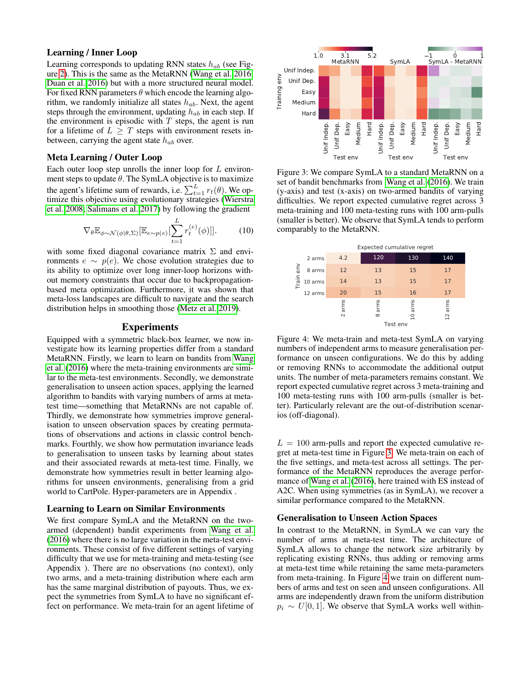#### Learning / Inner Loop

Learning corresponds to updating RNN states  $h_{ab}$  (see Figure [2\)](#page-3-4). This is the same as the MetaRNN [\(Wang et al. 2016;](#page-7-3) [Duan et al. 2016\)](#page-7-4) but with a more structured neural model. For fixed RNN parameters  $\theta$  which encode the learning algorithm, we randomly initialize all states  $h_{ab}$ . Next, the agent steps through the environment, updating  $h_{ab}$  in each step. If the environment is episodic with  $T$  steps, the agent is run for a lifetime of  $L \geq T$  steps with environment resets inbetween, carrying the agent state  $h_{ab}$  over.

#### Meta Learning / Outer Loop

Each outer loop step unrolls the inner loop for L environment steps to update  $\theta$ . The SymLA objective is to maximize the agent's lifetime sum of rewards, i.e.  $\sum_{t=1}^{L} r_t(\theta)$ . We optimize this objective using evolutionary strategies [\(Wierstra](#page-7-9) [et al. 2008;](#page-7-9) [Salimans et al. 2017\)](#page-7-10) by following the gradient

<span id="page-4-2"></span>
$$
\nabla_{\theta} \mathbb{E}_{\phi \sim \mathcal{N}(\phi|\theta, \Sigma)} [\mathbb{E}_{e \sim p(e)} [\sum_{t=1}^{L} r_t^{(e)}(\phi)]]. \tag{10}
$$

with some fixed diagonal covariance matrix  $\Sigma$  and environments  $e \sim p(e)$ . We chose evolution strategies due to its ability to optimize over long inner-loop horizons without memory constraints that occur due to backpropagationbased meta optimization. Furthermore, it was shown that meta-loss landscapes are difficult to navigate and the search distribution helps in smoothing those [\(Metz et al. 2019\)](#page-7-11).

## **Experiments**

Equipped with a symmetric black-box learner, we now investigate how its learning properties differ from a standard MetaRNN. Firstly, we learn to learn on bandits from [Wang](#page-7-3) [et al.](#page-7-3) [\(2016\)](#page-7-3) where the meta-training environments are similar to the meta-test environments. Secondly, we demonstrate generalisation to unseen action spaces, applying the learned algorithm to bandits with varying numbers of arms at metatest time—something that MetaRNNs are not capable of. Thirdly, we demonstrate how symmetries improve generalisation to unseen observation spaces by creating permutations of observations and actions in classic control benchmarks. Fourthly, we show how permutation invariance leads to generalisation to unseen tasks by learning about states and their associated rewards at meta-test time. Finally, we demonstrate how symmetries result in better learning algorithms for unseen environments, generalising from a grid world to CartPole. Hyper-parameters are in Appendix .

#### Learning to Learn on Similar Environments

We first compare SymLA and the MetaRNN on the twoarmed (dependent) bandit experiments from [Wang et al.](#page-7-3) [\(2016\)](#page-7-3) where there is no large variation in the meta-test environments. These consist of five different settings of varying difficulty that we use for meta-training and meta-testing (see Appendix ). There are no observations (no context), only two arms, and a meta-training distribution where each arm has the same marginal distribution of payouts. Thus, we expect the symmetries from SymLA to have no significant effect on performance. We meta-train for an agent lifetime of

<span id="page-4-0"></span>

Figure 3: We compare SymLA to a standard MetaRNN on a set of bandit benchmarks from [Wang et al.](#page-7-3) [\(2016\)](#page-7-3). We train (y-axis) and test (x-axis) on two-armed bandits of varying difficulties. We report expected cumulative regret across 3 meta-training and 100 meta-testing runs with 100 arm-pulls (smaller is better). We observe that SymLA tends to perform comparably to the MetaRNN.

<span id="page-4-1"></span>

Figure 4: We meta-train and meta-test SymLA on varying numbers of independent arms to measure generalisation performance on unseen configurations. We do this by adding or removing RNNs to accommodate the additional output units. The number of meta-parameters remains constant. We report expected cumulative regret across 3 meta-training and 100 meta-testing runs with 100 arm-pulls (smaller is better). Particularly relevant are the out-of-distribution scenarios (off-diagonal).

 $L = 100$  arm-pulls and report the expected cumulative regret at meta-test time in Figure [3.](#page-4-0) We meta-train on each of the five settings, and meta-test across all settings. The performance of the MetaRNN reproduces the average performance of [Wang et al.](#page-7-3) [\(2016\)](#page-7-3), here trained with ES instead of A2C. When using symmetries (as in SymLA), we recover a similar performance compared to the MetaRNN.

#### Generalisation to Unseen Action Spaces

In contrast to the MetaRNN, in SymLA we can vary the number of arms at meta-test time. The architecture of SymLA allows to change the network size arbitrarily by replicating existing RNNs, thus adding or removing arms at meta-test time while retaining the same meta-parameters from meta-training. In Figure [4](#page-4-1) we train on different numbers of arms and test on seen and unseen configurations. All arms are independently drawn from the uniform distribution  $p_i \sim U[0, 1]$ . We observe that SymLA works well within-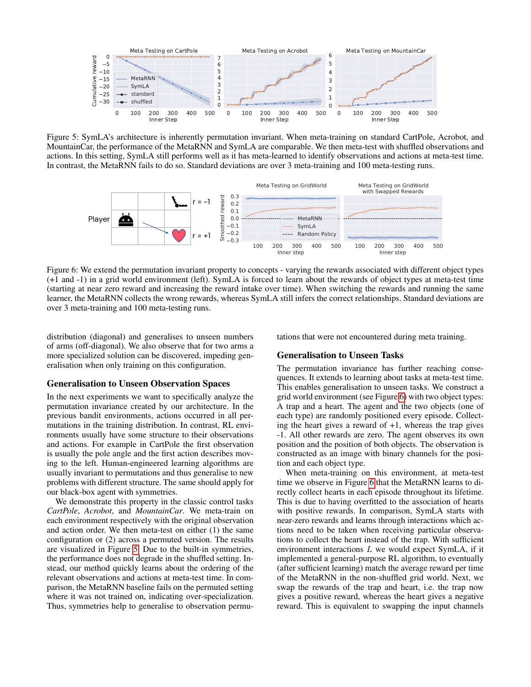<span id="page-5-0"></span>

Figure 5: SymLA's architecture is inherently permutation invariant. When meta-training on standard CartPole, Acrobot, and MountainCar, the performance of the MetaRNN and SymLA are comparable. We then meta-test with shuffled observations and actions. In this setting, SymLA still performs well as it has meta-learned to identify observations and actions at meta-test time. In contrast, the MetaRNN fails to do so. Standard deviations are over 3 meta-training and 100 meta-testing runs.

<span id="page-5-1"></span>

Figure 6: We extend the permutation invariant property to concepts - varying the rewards associated with different object types (+1 and -1) in a grid world environment (left). SymLA is forced to learn about the rewards of object types at meta-test time (starting at near zero reward and increasing the reward intake over time). When switching the rewards and running the same learner, the MetaRNN collects the wrong rewards, whereas SymLA still infers the correct relationships. Standard deviations are over 3 meta-training and 100 meta-testing runs.

øþ of arms (off-diagonal). We also observe that for two arms a distribution (diagonal) and generalises to unseen numbers more specialized solution can be discovered, impeding generalisation when only training on this configuration.

### Generalisation to Unseen Observation Spaces

In the next experiments we want to specifically analyze the permutation invariance created by our architecture. In the previous bandit environments, actions occurred in all permutations in the training distribution. In contrast, RL environments usually have some structure to their observations and actions. For example in CartPole the first observation is usually the pole angle and the first action describes moving to the left. Human-engineered learning algorithms are usually invariant to permutations and thus generalise to new problems with different structure. The same should apply for our black-box agent with symmetries.

We demonstrate this property in the classic control tasks *CartPole*, *Acrobot*, and *MountainCar*. We meta-train on each environment respectively with the original observation and action order. We then meta-test on either (1) the same configuration or (2) across a permuted version. The results are visualized in Figure [5.](#page-5-0) Due to the built-in symmetries, the performance does not degrade in the shuffled setting. Instead, our method quickly learns about the ordering of the relevant observations and actions at meta-test time. In comparison, the MetaRNN baseline fails on the permuted setting where it was not trained on, indicating over-specialization. Thus, symmetries help to generalise to observation permutations that were not encountered during meta training.

#### Generalisation to Unseen Tasks

The permutation invariance has further reaching consequences. It extends to learning about tasks at meta-test time. This enables generalisation to unseen tasks. We construct a grid world environment (see Figure [6\)](#page-5-1) with two object types: A trap and a heart. The agent and the two objects (one of each type) are randomly positioned every episode. Collecting the heart gives a reward of  $+1$ , whereas the trap gives -1. All other rewards are zero. The agent observes its own position and the position of both objects. The observation is constructed as an image with binary channels for the position and each object type.

When meta-training on this environment, at meta-test time we observe in Figure [6](#page-5-1) that the MetaRNN learns to directly collect hearts in each episode throughout its lifetime. This is due to having overfitted to the association of hearts with positive rewards. In comparison, SymLA starts with near-zero rewards and learns through interactions which actions need to be taken when receiving particular observations to collect the heart instead of the trap. With sufficient environment interactions  $L$  we would expect SymLA, if it implemented a general-purpose RL algorithm, to eventually (after sufficient learning) match the average reward per time of the MetaRNN in the non-shuffled grid world. Next, we swap the rewards of the trap and heart, i.e. the trap now gives a positive reward, whereas the heart gives a negative reward. This is equivalent to swapping the input channels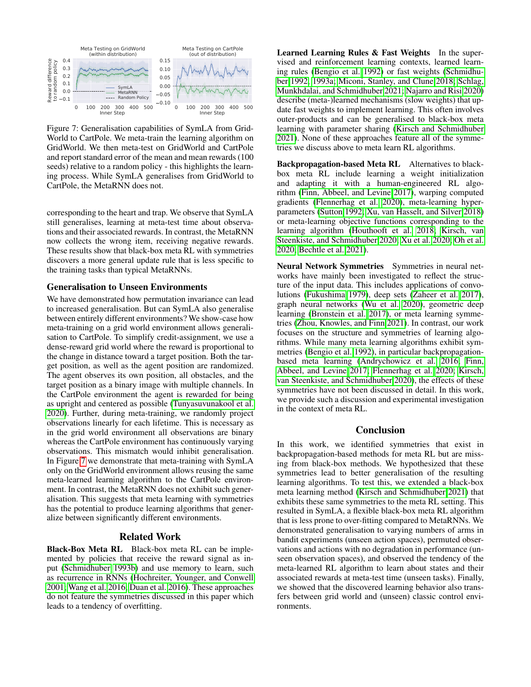<span id="page-6-0"></span>

Figure 7: Generalisation capabilities of SymLA from Grid-World to CartPole. We meta-train the learning algorithm on GridWorld. We then meta-test on GridWorld and CartPole and report standard error of the mean and mean rewards (100 seeds) relative to a random policy - this highlights the learning process. While SymLA generalises from GridWorld to CartPole, the MetaRNN does not.

corresponding to the heart and trap. We observe that SymLA still generalises, learning at meta-test time about observations and their associated rewards. In contrast, the MetaRNN now collects the wrong item, receiving negative rewards. These results show that black-box meta RL with symmetries discovers a more general update rule that is less specific to the training tasks than typical MetaRNNs.

#### Generalisation to Unseen Environments

We have demonstrated how permutation invariance can lead to increased generalisation. But can SymLA also generalise between entirely different environments? We show-case how meta-training on a grid world environment allows generalisation to CartPole. To simplify credit-assignment, we use a dense-reward grid world where the reward is proportional to the change in distance toward a target position. Both the target position, as well as the agent position are randomized. The agent observes its own position, all obstacles, and the target position as a binary image with multiple channels. In the CartPole environment the agent is rewarded for being as upright and centered as possible [\(Tunyasuvunakool et al.](#page-7-12) [2020\)](#page-7-12). Further, during meta-training, we randomly project observations linearly for each lifetime. This is necessary as in the grid world environment all observations are binary whereas the CartPole environment has continuously varying observations. This mismatch would inhibit generalisation. In Figure [7](#page-6-0) we demonstrate that meta-training with SymLA only on the GridWorld environment allows reusing the same meta-learned learning algorithm to the CartPole environment. In contrast, the MetaRNN does not exhibit such generalisation. This suggests that meta learning with symmetries has the potential to produce learning algorithms that generalize between significantly different environments.

## Related Work

Black-Box Meta RL Black-box meta RL can be implemented by policies that receive the reward signal as input [\(Schmidhuber 1993b\)](#page-7-6) and use memory to learn, such as recurrence in RNNs [\(Hochreiter, Younger, and Conwell](#page-7-13) [2001;](#page-7-13) [Wang et al. 2016;](#page-7-3) [Duan et al. 2016\)](#page-7-4). These approaches do not feature the symmetries discussed in this paper which leads to a tendency of overfitting.

Learned Learning Rules & Fast Weights In the supervised and reinforcement learning contexts, learned learning rules [\(Bengio et al. 1992\)](#page-7-7) or fast weights [\(Schmidhu](#page-7-14)[ber 1992,](#page-7-14) [1993a;](#page-7-8) [Miconi, Stanley, and Clune 2018;](#page-7-15) [Schlag,](#page-7-16) [Munkhdalai, and Schmidhuber 2021;](#page-7-16) [Najarro and Risi 2020\)](#page-7-17) describe (meta-)learned mechanisms (slow weights) that update fast weights to implement learning. This often involves outer-products and can be generalised to black-box meta learning with parameter sharing [\(Kirsch and Schmidhuber](#page-7-5) [2021\)](#page-7-5). None of these approaches feature all of the symmetries we discuss above to meta learn RL algorithms.

Backpropagation-based Meta RL Alternatives to blackbox meta RL include learning a weight initialization and adapting it with a human-engineered RL algorithm [\(Finn, Abbeel, and Levine 2017\)](#page-7-18), warping computed gradients [\(Flennerhag et al. 2020\)](#page-7-19), meta-learning hyperparameters [\(Sutton 1992;](#page-7-20) [Xu, van Hasselt, and Silver 2018\)](#page-8-0) or meta-learning objective functions corresponding to the learning algorithm [\(Houthooft et al. 2018;](#page-7-21) [Kirsch, van](#page-7-0) [Steenkiste, and Schmidhuber 2020;](#page-7-0) [Xu et al. 2020;](#page-7-22) [Oh et al.](#page-7-2) [2020;](#page-7-2) [Bechtle et al. 2021\)](#page-7-23).

Neural Network Symmetries Symmetries in neural networks have mainly been investigated to reflect the structure of the input data. This includes applications of convolutions [\(Fukushima 1979\)](#page-7-24), deep sets [\(Zaheer et al. 2017\)](#page-8-1), graph neural networks [\(Wu et al. 2020\)](#page-7-25), geometric deep learning [\(Bronstein et al. 2017\)](#page-7-26), or meta learning symmetries [\(Zhou, Knowles, and Finn 2021\)](#page-8-2). In contrast, our work focuses on the structure and symmetries of learning algorithms. While many meta learning algorithms exhibit symmetries [\(Bengio et al. 1992\)](#page-7-7), in particular backpropagationbased meta learning [\(Andrychowicz et al. 2016;](#page-7-27) [Finn,](#page-7-18) [Abbeel, and Levine 2017;](#page-7-18) [Flennerhag et al. 2020;](#page-7-19) [Kirsch,](#page-7-0) [van Steenkiste, and Schmidhuber 2020\)](#page-7-0), the effects of these symmetries have not been discussed in detail. In this work, we provide such a discussion and experimental investigation in the context of meta RL.

# Conclusion

In this work, we identified symmetries that exist in backpropagation-based methods for meta RL but are missing from black-box methods. We hypothesized that these symmetries lead to better generalisation of the resulting learning algorithms. To test this, we extended a black-box meta learning method [\(Kirsch and Schmidhuber 2021\)](#page-7-5) that exhibits these same symmetries to the meta RL setting. This resulted in SymLA, a flexible black-box meta RL algorithm that is less prone to over-fitting compared to MetaRNNs. We demonstrated generalisation to varying numbers of arms in bandit experiments (unseen action spaces), permuted observations and actions with no degradation in performance (unseen observation spaces), and observed the tendency of the meta-learned RL algorithm to learn about states and their associated rewards at meta-test time (unseen tasks). Finally, we showed that the discovered learning behavior also transfers between grid world and (unseen) classic control environments.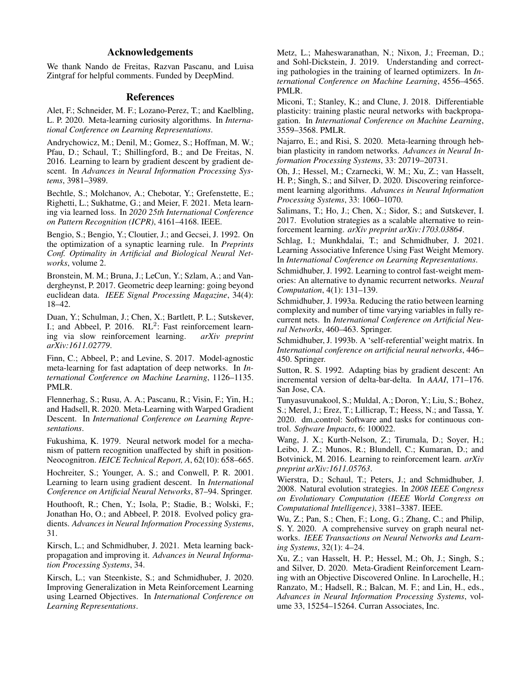# Acknowledgements

We thank Nando de Freitas, Razvan Pascanu, and Luisa Zintgraf for helpful comments. Funded by DeepMind.

## References

<span id="page-7-1"></span>Alet, F.; Schneider, M. F.; Lozano-Perez, T.; and Kaelbling, L. P. 2020. Meta-learning curiosity algorithms. In *International Conference on Learning Representations*.

<span id="page-7-27"></span>Andrychowicz, M.; Denil, M.; Gomez, S.; Hoffman, M. W.; Pfau, D.; Schaul, T.; Shillingford, B.; and De Freitas, N. 2016. Learning to learn by gradient descent by gradient descent. In *Advances in Neural Information Processing Systems*, 3981–3989.

<span id="page-7-23"></span>Bechtle, S.; Molchanov, A.; Chebotar, Y.; Grefenstette, E.; Righetti, L.; Sukhatme, G.; and Meier, F. 2021. Meta learning via learned loss. In *2020 25th International Conference on Pattern Recognition (ICPR)*, 4161–4168. IEEE.

<span id="page-7-7"></span>Bengio, S.; Bengio, Y.; Cloutier, J.; and Gecsei, J. 1992. On the optimization of a synaptic learning rule. In *Preprints Conf. Optimality in Artificial and Biological Neural Networks*, volume 2.

<span id="page-7-26"></span>Bronstein, M. M.; Bruna, J.; LeCun, Y.; Szlam, A.; and Vandergheynst, P. 2017. Geometric deep learning: going beyond euclidean data. *IEEE Signal Processing Magazine*, 34(4): 18–42.

<span id="page-7-4"></span>Duan, Y.; Schulman, J.; Chen, X.; Bartlett, P. L.; Sutskever, I.; and Abbeel, P. 2016.  $RL<sup>2</sup>$ : Fast reinforcement learning via slow reinforcement learning. *arXiv preprint arXiv:1611.02779*.

<span id="page-7-18"></span>Finn, C.; Abbeel, P.; and Levine, S. 2017. Model-agnostic meta-learning for fast adaptation of deep networks. In *International Conference on Machine Learning*, 1126–1135. PMLR.

<span id="page-7-19"></span>Flennerhag, S.; Rusu, A. A.; Pascanu, R.; Visin, F.; Yin, H.; and Hadsell, R. 2020. Meta-Learning with Warped Gradient Descent. In *International Conference on Learning Representations*.

<span id="page-7-24"></span>Fukushima, K. 1979. Neural network model for a mechanism of pattern recognition unaffected by shift in position-Neocognitron. *IEICE Technical Report, A*, 62(10): 658–665.

<span id="page-7-13"></span>Hochreiter, S.; Younger, A. S.; and Conwell, P. R. 2001. Learning to learn using gradient descent. In *International Conference on Artificial Neural Networks*, 87–94. Springer.

<span id="page-7-21"></span>Houthooft, R.; Chen, Y.; Isola, P.; Stadie, B.; Wolski, F.; Jonathan Ho, O.; and Abbeel, P. 2018. Evolved policy gradients. *Advances in Neural Information Processing Systems*, 31.

<span id="page-7-5"></span>Kirsch, L.; and Schmidhuber, J. 2021. Meta learning backpropagation and improving it. *Advances in Neural Information Processing Systems*, 34.

<span id="page-7-0"></span>Kirsch, L.; van Steenkiste, S.; and Schmidhuber, J. 2020. Improving Generalization in Meta Reinforcement Learning using Learned Objectives. In *International Conference on Learning Representations*.

<span id="page-7-11"></span>Metz, L.; Maheswaranathan, N.; Nixon, J.; Freeman, D.; and Sohl-Dickstein, J. 2019. Understanding and correcting pathologies in the training of learned optimizers. In *International Conference on Machine Learning*, 4556–4565. PMLR.

<span id="page-7-15"></span>Miconi, T.; Stanley, K.; and Clune, J. 2018. Differentiable plasticity: training plastic neural networks with backpropagation. In *International Conference on Machine Learning*, 3559–3568. PMLR.

<span id="page-7-17"></span>Najarro, E.; and Risi, S. 2020. Meta-learning through hebbian plasticity in random networks. *Advances in Neural Information Processing Systems*, 33: 20719–20731.

<span id="page-7-2"></span>Oh, J.; Hessel, M.; Czarnecki, W. M.; Xu, Z.; van Hasselt, H. P.; Singh, S.; and Silver, D. 2020. Discovering reinforcement learning algorithms. *Advances in Neural Information Processing Systems*, 33: 1060–1070.

<span id="page-7-10"></span>Salimans, T.; Ho, J.; Chen, X.; Sidor, S.; and Sutskever, I. 2017. Evolution strategies as a scalable alternative to reinforcement learning. *arXiv preprint arXiv:1703.03864*.

<span id="page-7-16"></span>Schlag, I.: Munkhdalai, T.: and Schmidhuber, J. 2021. Learning Associative Inference Using Fast Weight Memory. In *International Conference on Learning Representations*.

<span id="page-7-14"></span>Schmidhuber, J. 1992. Learning to control fast-weight memories: An alternative to dynamic recurrent networks. *Neural Computation*, 4(1): 131–139.

<span id="page-7-8"></span>Schmidhuber, J. 1993a. Reducing the ratio between learning complexity and number of time varying variables in fully recurrent nets. In *International Conference on Artificial Neural Networks*, 460–463. Springer.

<span id="page-7-6"></span>Schmidhuber, J. 1993b. A 'self-referential'weight matrix. In *International conference on artificial neural networks*, 446– 450. Springer.

<span id="page-7-20"></span>Sutton, R. S. 1992. Adapting bias by gradient descent: An incremental version of delta-bar-delta. In *AAAI*, 171–176. San Jose, CA.

<span id="page-7-12"></span>Tunyasuvunakool, S.; Muldal, A.; Doron, Y.; Liu, S.; Bohez, S.; Merel, J.; Erez, T.; Lillicrap, T.; Heess, N.; and Tassa, Y. 2020. dm control: Software and tasks for continuous control. *Software Impacts*, 6: 100022.

<span id="page-7-3"></span>Wang, J. X.; Kurth-Nelson, Z.; Tirumala, D.; Soyer, H.; Leibo, J. Z.; Munos, R.; Blundell, C.; Kumaran, D.; and Botvinick, M. 2016. Learning to reinforcement learn. *arXiv preprint arXiv:1611.05763*.

<span id="page-7-9"></span>Wierstra, D.; Schaul, T.; Peters, J.; and Schmidhuber, J. 2008. Natural evolution strategies. In *2008 IEEE Congress on Evolutionary Computation (IEEE World Congress on Computational Intelligence)*, 3381–3387. IEEE.

<span id="page-7-25"></span>Wu, Z.; Pan, S.; Chen, F.; Long, G.; Zhang, C.; and Philip, S. Y. 2020. A comprehensive survey on graph neural networks. *IEEE Transactions on Neural Networks and Learning Systems*, 32(1): 4–24.

<span id="page-7-22"></span>Xu, Z.; van Hasselt, H. P.; Hessel, M.; Oh, J.; Singh, S.; and Silver, D. 2020. Meta-Gradient Reinforcement Learning with an Objective Discovered Online. In Larochelle, H.; Ranzato, M.; Hadsell, R.; Balcan, M. F.; and Lin, H., eds., *Advances in Neural Information Processing Systems*, volume 33, 15254–15264. Curran Associates, Inc.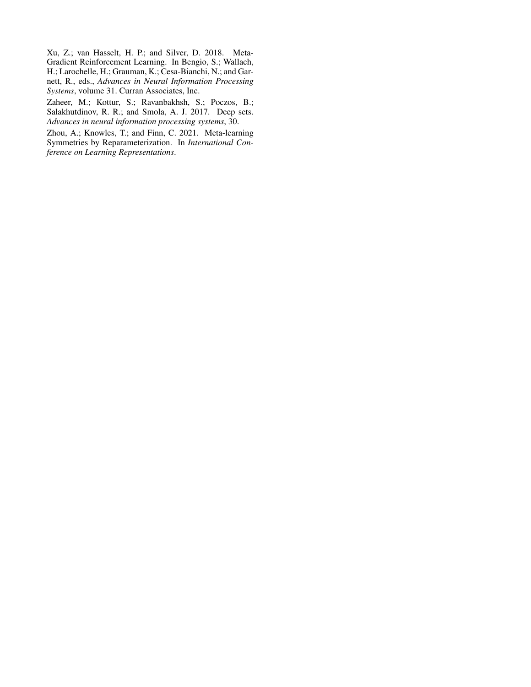<span id="page-8-0"></span>Xu, Z.; van Hasselt, H. P.; and Silver, D. 2018. Meta-Gradient Reinforcement Learning. In Bengio, S.; Wallach, H.; Larochelle, H.; Grauman, K.; Cesa-Bianchi, N.; and Garnett, R., eds., *Advances in Neural Information Processing Systems*, volume 31. Curran Associates, Inc.

<span id="page-8-1"></span>Zaheer, M.; Kottur, S.; Ravanbakhsh, S.; Poczos, B.; Salakhutdinov, R. R.; and Smola, A. J. 2017. Deep sets. *Advances in neural information processing systems*, 30.

<span id="page-8-2"></span>Zhou, A.; Knowles, T.; and Finn, C. 2021. Meta-learning Symmetries by Reparameterization. In *International Conference on Learning Representations*.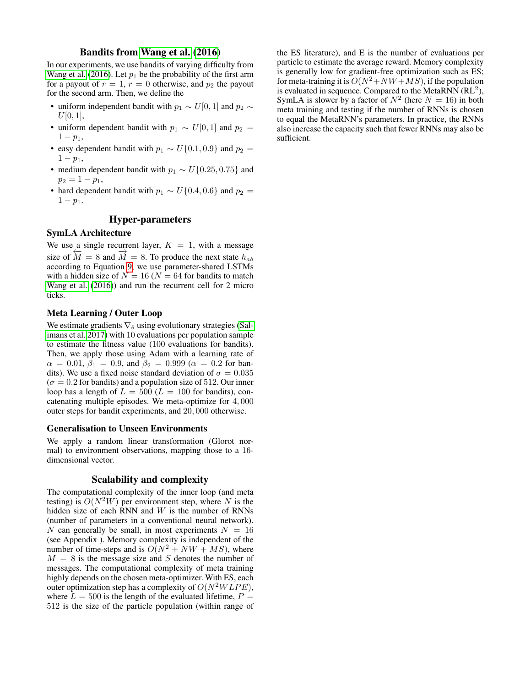## Bandits from [Wang et al.](#page-7-3) [\(2016\)](#page-7-3)

In our experiments, we use bandits of varying difficulty from [Wang et al.](#page-7-3) [\(2016\)](#page-7-3). Let  $p_1$  be the probability of the first arm for a payout of  $r = 1$ ,  $r = 0$  otherwise, and  $p_2$  the payout for the second arm. Then, we define the

- uniform independent bandit with  $p_1 \sim U[0, 1]$  and  $p_2 \sim$  $U[0, 1],$
- uniform dependent bandit with  $p_1 \sim U[0, 1]$  and  $p_2 =$  $1 - p_1$ ,
- easy dependent bandit with  $p_1 \sim U\{0.1, 0.9\}$  and  $p_2 =$  $1 - p_1$ ,
- medium dependent bandit with  $p_1 \sim U\{0.25, 0.75\}$  and  $p_2 = 1 - p_1$ ,
- hard dependent bandit with  $p_1 \sim U\{0.4, 0.6\}$  and  $p_2 =$  $1 - p_1$ .

## Hyper-parameters

## SymLA Architecture

We use a single recurrent layer,  $K = 1$ , with a message size of  $\overline{M} = 8$  and  $\overline{M} = 8$ . To produce the next state  $h_{ab}$ according to Equation [9,](#page-3-3) we use parameter-shared LSTMs with a hidden size of  $N = 16$  ( $N = 64$  for bandits to match [Wang et al.](#page-7-3) [\(2016\)](#page-7-3)) and run the recurrent cell for 2 micro ticks.

## Meta Learning / Outer Loop

We estimate gradients  $\nabla_{\theta}$  using evolutionary strategies [\(Sal](#page-7-10)[imans et al. 2017\)](#page-7-10) with 10 evaluations per population sample to estimate the fitness value (100 evaluations for bandits). Then, we apply those using Adam with a learning rate of  $\alpha = 0.01, \beta_1 = 0.9, \text{ and } \beta_2 = 0.999 \ (\alpha = 0.2 \text{ for ban-}$ dits). We use a fixed noise standard deviation of  $\sigma = 0.035$  $(\sigma = 0.2$  for bandits) and a population size of 512. Our inner loop has a length of  $L = 500$  ( $L = 100$  for bandits), concatenating multiple episodes. We meta-optimize for 4, 000 outer steps for bandit experiments, and 20, 000 otherwise.

## Generalisation to Unseen Environments

We apply a random linear transformation (Glorot normal) to environment observations, mapping those to a 16 dimensional vector.

## Scalability and complexity

The computational complexity of the inner loop (and meta testing) is  $O(N^2W)$  per environment step, where N is the hidden size of each RNN and  $W$  is the number of RNNs (number of parameters in a conventional neural network). N can generally be small, in most experiments  $N = 16$ (see Appendix ). Memory complexity is independent of the number of time-steps and is  $O(N^2 + NW + MS)$ , where  $M = 8$  is the message size and S denotes the number of messages. The computational complexity of meta training highly depends on the chosen meta-optimizer. With ES, each outer optimization step has a complexity of  $O(N^2WLPE)$ , where  $L = 500$  is the length of the evaluated lifetime,  $P =$ 512 is the size of the particle population (within range of

the ES literature), and E is the number of evaluations per particle to estimate the average reward. Memory complexity is generally low for gradient-free optimization such as ES; for meta-training it is  $O(N^2+NW+MS)$ , if the population is evaluated in sequence. Compared to the MetaRNN  $(RL<sup>2</sup>)$ , SymLA is slower by a factor of  $N^2$  (here  $N = 16$ ) in both meta training and testing if the number of RNNs is chosen to equal the MetaRNN's parameters. In practice, the RNNs also increase the capacity such that fewer RNNs may also be sufficient.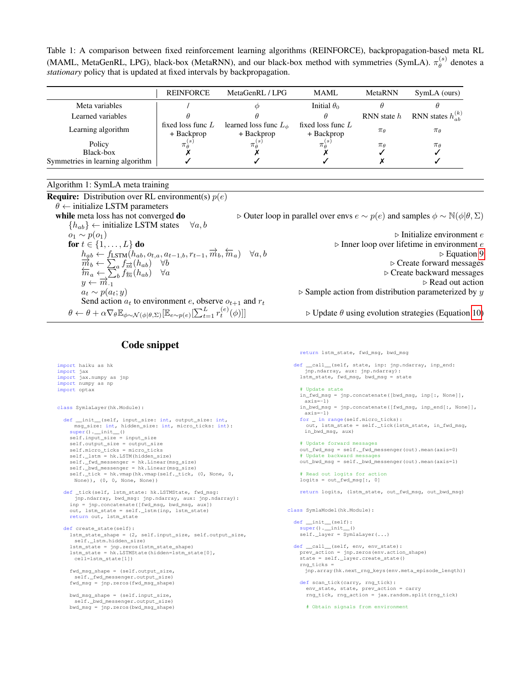Table 1: A comparison between fixed reinforcement learning algorithms (REINFORCE), backpropagation-based meta RL (MAML, MetaGenRL, LPG), black-box (MetaRNN), and our black-box method with symmetries (SymLA).  $\pi_\theta^{(s)}$  $\theta^{(s)}$  denotes a *stationary* policy that is updated at fixed intervals by backpropagation.

|                                  | <b>REINFORCE</b>     | MetaGenRL / LPG              | <b>MAML</b>         | MetaRNN        | SymLA (ours)              |
|----------------------------------|----------------------|------------------------------|---------------------|----------------|---------------------------|
| Meta variables                   |                      |                              | Initial $\theta_0$  |                |                           |
| Learned variables                |                      |                              |                     | RNN state $h$  | RNN states $h_{ab}^{(k)}$ |
| Learning algorithm               | fixed loss func $L$  | learned loss func $L_{\phi}$ | fixed loss func $L$ | $\pi_{\theta}$ | $\pi_{\theta}$            |
|                                  | + Backprop           | + Backprop                   | + Backprop          |                |                           |
| Policy                           | $\pi_{\theta}^{(s)}$ | $\pi_{\theta}^{(s)}$         | $\pi_{\mu}^{(s)}$   | $\pi_{\theta}$ | $\pi_{\theta}$            |
| Black-box                        |                      |                              |                     |                |                           |
| Symmetries in learning algorithm |                      |                              |                     |                |                           |

## <span id="page-10-0"></span>Algorithm 1: SymLA meta training

**Require:** Distribution over RL environment(s)  $p(e)$  $\theta \leftarrow$  initialize LSTM parameters while meta loss has not converged do  $\triangleright$  Outer loop in parallel over envs  $e \sim p(e)$  and samples  $\phi \sim \mathbb{N}(\phi|\theta, \Sigma)$  ${h_{ab}} \leftarrow$  initialize LSTM states  $\forall a, b$  $o_1 \sim p(o_1)$  > Initialize environment e **for**  $t \in \{1, ..., L\}$  **do**  $\triangleright$  Inner loop over lifetime in environment e  $h_{ab} \leftarrow f_{\text{LSTM}}(h_{ab}, o_{t,a}, a_{t-1,b}, r_{t-1}, \overrightarrow{m}_b, \overleftarrow{m}_a) \quad \forall a, b$ b Equation [9](#page-3-3)  $\frac{m_b}{m_b} \leftarrow \sum_a f_{\overrightarrow{m}}(h_{ab}) \quad \forall b$ <br>  $\overline{m}_a \leftarrow \sum_b f_{\overrightarrow{m}}(h_{ab}) \quad \forall a$ <br>  $y \leftarrow \overline{m}_{.1}$   $\triangleright$  Create backward messages<br>  $\overline{m}_b \leftarrow \sum_b f_{\overrightarrow{m}}(h_{ab}) \quad \forall a$ <br>  $\downarrow \rightarrow$  Read out action f←−m(hab) ∀a . Create backward messages  $a_t \sim p(a_t; y)$  > Sample action from distribution parameterized by y Send action  $a_t$  to environment e, observe  $o_{t+1}$  and  $r_t$  $\theta \leftarrow \theta + \alpha \nabla_\theta \mathbb{E}_{\phi \sim \mathcal{N}(\phi|\theta, \Sigma)}[\mathbb{E}_{e \sim p(e)}[\sum_{t=1}^{L} r_t^{(e)}]$  $\triangleright$  Update  $\theta$  using evolution strategies (Equation [10\)](#page-4-2)

return lstm\_state, fwd\_msg, bwd\_msg

# Code snippet

```
import haiku as hk
import jax
import jax.numpy as jnp
import numpy as np
import optax
class SymlaLayer(hk.Module):
  def __init__(self, input_size: int, output_size: int,
      msg_size: int, hidden_size: int, micro_ticks: int):
    super() . _init ()
    self.input size = input size
     self.output_size = output_size
self.micro_ticks = micro_ticks
    self._lstm = hk.LSTM(hidden_size)
     self._fwd_messenger = hk.Linear(msg_size)<br>self._bwd_messenger = hk.Linear(msg_size)<br>self._tick = hk.vmap(hk.vmap(self._tick, (0, None, 0,
      None)), (0, 0, None, None))
  def _tick(self, lstm_state: hk.LSTMState, fwd_msg:
     jnp.ndarray, bwd_msg: jnp.ndarray, aux: jnp.ndarray):<br>inp = jnp.concatenate([fwd_msq, bwd_msq, aux])
    out, lstm_state = self._lstm(inp, lstm_state)
    return out, lstm_state
  def create_state(self):
    lstm_state_shape = (2, self.input_size, self.output_size,
      self._lstm.hidden_size)
     lstm_state = jnp.zeros(lstm_state_shape)
lstm_state = hk.LSTMState(hidden=lstm_state[0],
      cell=lstm_state[1])
    fwd_msg_shape = (self.output_size,
      self._fwd_messenger.output_size)
    fwd_msg = jnp.zeros(fwd_msg_shape)
    bwd_msg_shape = (self.input_size,
     self._bwd_messenger.output_size)
bwd_msg = jnp.zeros(bwd_msg_shape)
                                                                                        def call (self, state, inp: jnp.ndarray, inp_end:
                                                                                            jnp.ndarray, aux: jnp.ndarray):
                                                                                         lstm_state, fwd_msg, bwd_msg = state
                                                                                          # Update state
                                                                                          in_fwd_msg = jnp.concatenate([bwd_msg, inp[:, None]],
                                                                                            axis=-1)in_bwd_msg = jnp.concatenate([fwd_msg, inp_end[:, None]],
                                                                                           axis=-1)
                                                                                          for _ in range(self.micro_ticks):
                                                                                            out, lstm_state = self._tick(lstm_state, in_fwd_msg,
                                                                                           in_bwd_msg, aux)
                                                                                          # Update forward messages
                                                                                          out_fwd_msg = self._fwd_messenger(out).mean(axis=0)
# Update backward messages
                                                                                         out_bwd_msg = self._bwd_messenger(out).mean(axis=1)
                                                                                          # Read out logits for action
                                                                                          logits = out_fwd_msg[:, 0]return logits, (lstm_state, out_fwd_msg, out_bwd_msg)
                                                                                     class SymlaModel(hk.Module):
                                                                                       def __init__(self):
                                                                                          super() . _init ()
                                                                                          self._layer = SymlaLayer(...)
                                                                                       def __call__(self, env, env_state):
                                                                                         prev_action = jnp.zeros(env.action_shape)
                                                                                          state = self._layer.create_state()
                                                                                         rng_ticks =
                                                                                           jnp.array(hk.next_rng_keys(env.meta_episode_length))
                                                                                         def scan_tick(carry, rng_tick):
                                                                                            env_state, state, prev_action = carry
                                                                                            rng_tick, rng_action = jax.random.split(rng_tick)
                                                                                            # Obtain signals from environment
```